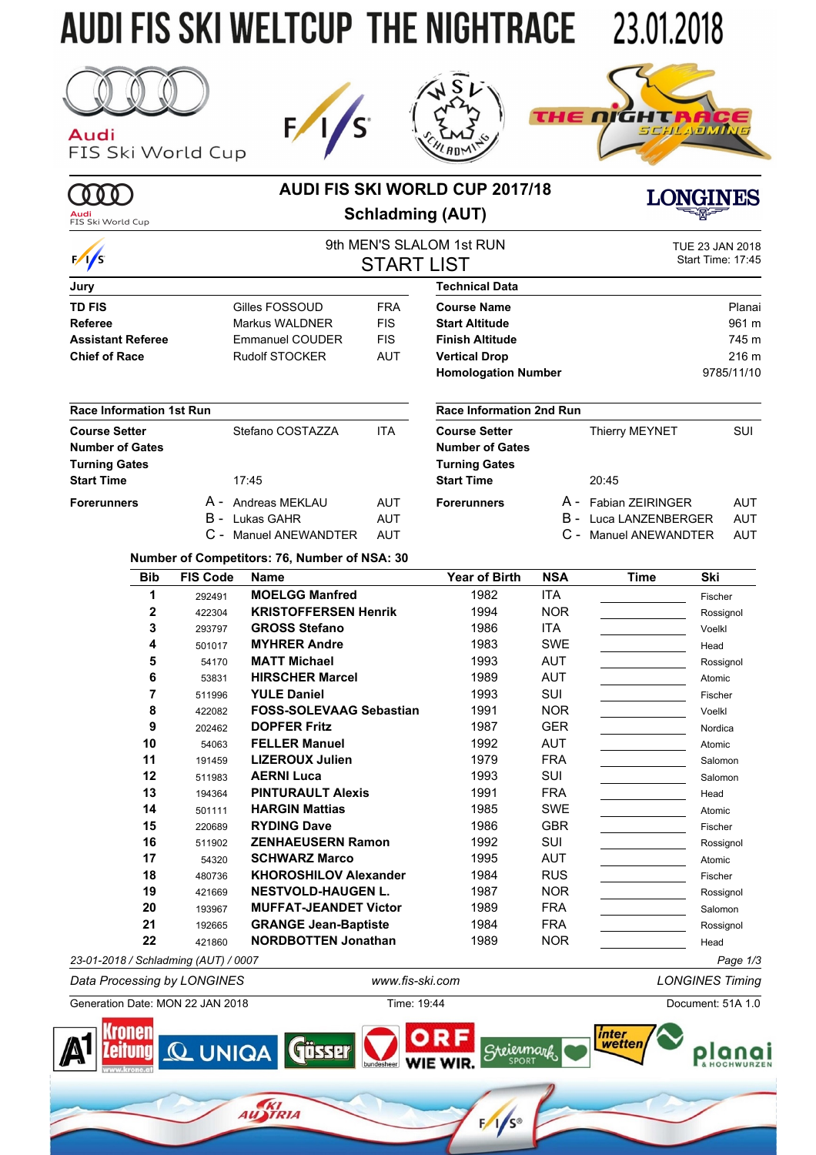## **AUDI FIS SKI WELTCUP THE NIGHTRACE 23.01.2018**



**MD** 

Audi<br>FIS Ski World Cup

Audi FIS Ski World Cup







## **AUDI FIS SKI WORLD CUP 2017/18 Schladming (AUT)**

**LONGINES** 9th MEN'S SLALOM 1st RUN TUE 23 JAN 2018<br>
Start Time: 17:45 Start Time: 17:45

|                                 |                 |                                              |                   | <u>SULIVILIN O OLALOIVE ISLINOIN</u> |            |                              | TUE Z3 JAN ZUTO   |  |
|---------------------------------|-----------------|----------------------------------------------|-------------------|--------------------------------------|------------|------------------------------|-------------------|--|
| $\frac{1}{s}$                   |                 |                                              | <b>START LIST</b> |                                      |            |                              | Start Time: 17:45 |  |
| Jury                            |                 |                                              |                   | <b>Technical Data</b>                |            |                              |                   |  |
| <b>TD FIS</b>                   |                 | Gilles FOSSOUD                               | <b>FRA</b>        | <b>Course Name</b>                   |            |                              | Planai            |  |
| <b>Referee</b>                  |                 | Markus WALDNER                               | <b>FIS</b>        | <b>Start Altitude</b>                |            |                              | 961 m             |  |
| <b>Assistant Referee</b>        |                 | <b>Emmanuel COUDER</b>                       | <b>FIS</b>        | <b>Finish Altitude</b>               |            |                              | 745 m             |  |
| <b>Chief of Race</b>            |                 | <b>Rudolf STOCKER</b>                        | <b>AUT</b>        | <b>Vertical Drop</b>                 |            |                              | 216 m             |  |
|                                 |                 |                                              |                   | <b>Homologation Number</b>           |            |                              | 9785/11/10        |  |
| <b>Race Information 1st Run</b> |                 |                                              |                   | <b>Race Information 2nd Run</b>      |            |                              |                   |  |
| <b>Course Setter</b>            |                 | Stefano COSTAZZA                             | <b>ITA</b>        | <b>Course Setter</b>                 |            | <b>Thierry MEYNET</b>        | <b>SUI</b>        |  |
| <b>Number of Gates</b>          |                 |                                              |                   | <b>Number of Gates</b>               |            |                              |                   |  |
| <b>Turning Gates</b>            |                 |                                              |                   | <b>Turning Gates</b>                 |            |                              |                   |  |
| <b>Start Time</b>               |                 | 17:45                                        |                   | <b>Start Time</b>                    |            | 20:45                        |                   |  |
| <b>Forerunners</b>              |                 | A - Andreas MEKLAU                           | <b>AUT</b>        | <b>Forerunners</b>                   |            | A - Fabian ZEIRINGER         | <b>AUT</b>        |  |
|                                 | B -             | Lukas GAHR                                   | <b>AUT</b>        |                                      |            | <b>B</b> - Luca LANZENBERGER | <b>AUT</b>        |  |
|                                 |                 | <b>Manuel ANEWANDTER</b>                     | <b>AUT</b>        |                                      |            | <b>Manuel ANEWANDTER</b>     | AUT               |  |
|                                 |                 | Number of Competitors: 76, Number of NSA: 30 |                   |                                      |            |                              |                   |  |
| <b>Bib</b>                      | <b>FIS Code</b> | <b>Name</b>                                  |                   | Year of Birth                        | <b>NSA</b> | <b>Time</b>                  | Ski               |  |
| 1                               | 292491          | <b>MOELGG Manfred</b>                        |                   | 1982                                 | <b>ITA</b> |                              | Fischer           |  |
| 2                               | 422304          | <b>KRISTOFFERSEN Henrik</b>                  |                   | 1994                                 | <b>NOR</b> |                              | Rossignol         |  |

|                                      | 292491 | <b>MULLUU MANITEU</b>          | 190Z | H A        | <b>Fischer</b> |
|--------------------------------------|--------|--------------------------------|------|------------|----------------|
| 2                                    | 422304 | <b>KRISTOFFERSEN Henrik</b>    | 1994 | <b>NOR</b> | Rossignol      |
| 3                                    | 293797 | <b>GROSS Stefano</b>           | 1986 | <b>ITA</b> | Voelkl         |
| 4                                    | 501017 | <b>MYHRER Andre</b>            | 1983 | <b>SWE</b> | Head           |
| 5                                    | 54170  | <b>MATT Michael</b>            | 1993 | <b>AUT</b> | Rossignol      |
| 6                                    | 53831  | <b>HIRSCHER Marcel</b>         | 1989 | <b>AUT</b> | Atomic         |
|                                      | 511996 | <b>YULE Daniel</b>             | 1993 | SUI        | Fischer        |
| 8                                    | 422082 | <b>FOSS-SOLEVAAG Sebastian</b> | 1991 | <b>NOR</b> | Voelkl         |
| 9                                    | 202462 | <b>DOPFER Fritz</b>            | 1987 | <b>GER</b> | Nordica        |
| 10                                   | 54063  | <b>FELLER Manuel</b>           | 1992 | <b>AUT</b> | Atomic         |
| 11                                   | 191459 | <b>LIZEROUX Julien</b>         | 1979 | <b>FRA</b> | Salomon        |
| 12                                   | 511983 | <b>AERNI Luca</b>              | 1993 | SUI        | Salomon        |
| 13                                   | 194364 | <b>PINTURAULT Alexis</b>       | 1991 | <b>FRA</b> | Head           |
| 14                                   | 501111 | <b>HARGIN Mattias</b>          | 1985 | <b>SWE</b> | Atomic         |
| 15                                   | 220689 | <b>RYDING Dave</b>             | 1986 | <b>GBR</b> | Fischer        |
| 16                                   | 511902 | <b>ZENHAEUSERN Ramon</b>       | 1992 | SUI        | Rossignol      |
| 17                                   | 54320  | <b>SCHWARZ Marco</b>           | 1995 | <b>AUT</b> | Atomic         |
| 18                                   | 480736 | <b>KHOROSHILOV Alexander</b>   | 1984 | <b>RUS</b> | Fischer        |
| 19                                   | 421669 | <b>NESTVOLD-HAUGEN L.</b>      | 1987 | <b>NOR</b> | Rossignol      |
| 20                                   | 193967 | <b>MUFFAT-JEANDET Victor</b>   | 1989 | <b>FRA</b> | Salomon        |
| 21                                   | 192665 | <b>GRANGE Jean-Baptiste</b>    | 1984 | <b>FRA</b> | Rossignol      |
| 22                                   | 421860 | <b>NORDBOTTEN Jonathan</b>     | 1989 | <b>NOR</b> | Head           |
| 23-01-2018 / Schladming (AUT) / 0007 |        |                                |      |            | Page 1/3       |

*Data Processing by LONGINES www.fis-ski.com LONGINES Timing* Generation Date: MON 22 JAN 2018 Time: 19:44 Document: 51A 1.0 Kronen inter

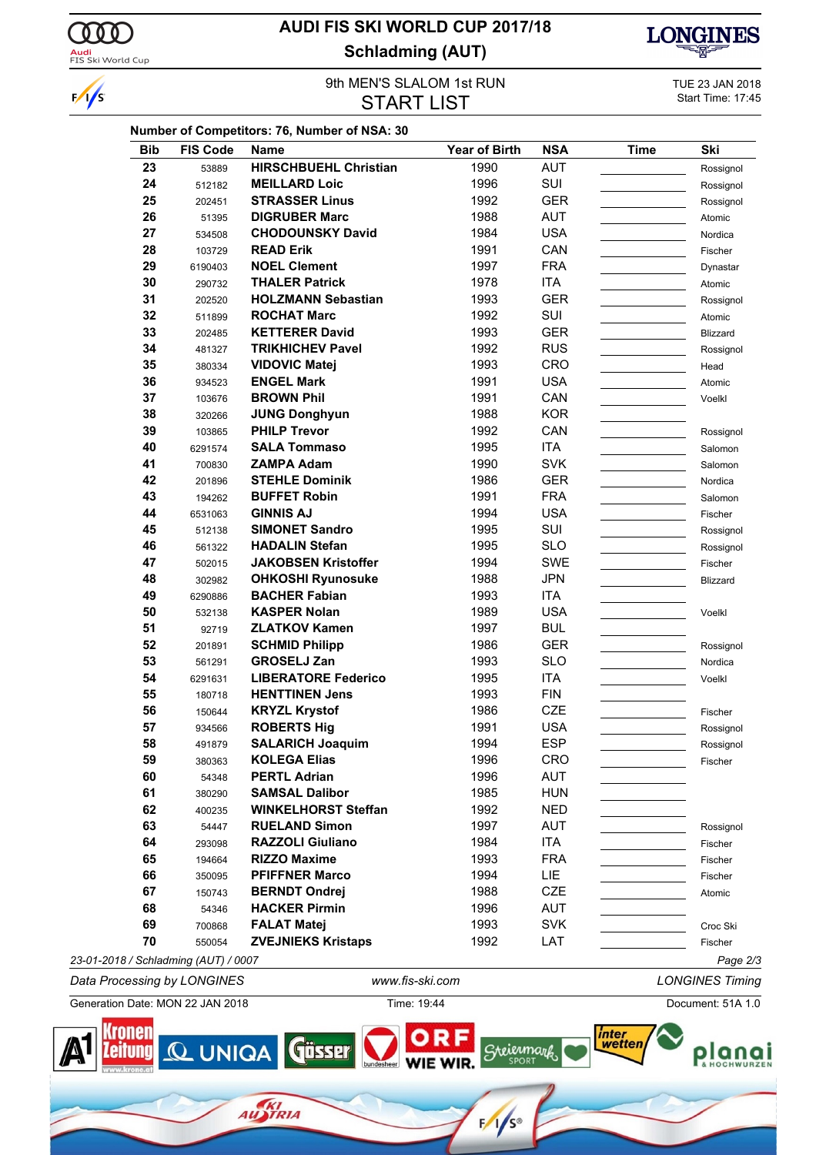

 $\frac{1}{s}$ 

## **AUDI FIS SKI WORLD CUP 2017/18 Schladming (AUT)**



## 9th MEN'S SLALOM 1st RUN<br>
STADT I IST START THE 23 JAN 2018 **START LIST**

| <b>Bib</b> | <b>FIS Code</b> | <b>Name</b>                                  | <b>Year of Birth</b> | <b>NSA</b> | <b>Time</b> | Ski       |
|------------|-----------------|----------------------------------------------|----------------------|------------|-------------|-----------|
| 23         | 53889           | <b>HIRSCHBUEHL Christian</b>                 | 1990                 | <b>AUT</b> |             | Rossignol |
| 24         | 512182          | <b>MEILLARD Loic</b>                         | 1996                 | SUI        |             | Rossignol |
| 25         | 202451          | <b>STRASSER Linus</b>                        | 1992                 | <b>GER</b> |             | Rossignol |
| 26         | 51395           | <b>DIGRUBER Marc</b>                         | 1988                 | <b>AUT</b> |             | Atomic    |
| 27         | 534508          | <b>CHODOUNSKY David</b>                      | 1984                 | <b>USA</b> |             | Nordica   |
| 28         | 103729          | <b>READ Erik</b>                             | 1991                 | CAN        |             | Fischer   |
| 29         | 6190403         | <b>NOEL Clement</b>                          | 1997                 | <b>FRA</b> |             | Dynastar  |
| 30         | 290732          | <b>THALER Patrick</b>                        | 1978                 | ITA        |             | Atomic    |
| 31         | 202520          | <b>HOLZMANN Sebastian</b>                    | 1993                 | <b>GER</b> |             | Rossignol |
| 32         | 511899          | <b>ROCHAT Marc</b>                           | 1992                 | SUI        |             | Atomic    |
| 33         | 202485          | <b>KETTERER David</b>                        | 1993                 | <b>GER</b> |             | Blizzard  |
| 34         | 481327          | <b>TRIKHICHEV Pavel</b>                      | 1992                 | <b>RUS</b> |             | Rossignol |
| 35         | 380334          | <b>VIDOVIC Matej</b>                         | 1993                 | <b>CRO</b> |             | Head      |
| 36         | 934523          | <b>ENGEL Mark</b>                            | 1991                 | <b>USA</b> |             | Atomic    |
| 37         | 103676          | <b>BROWN Phil</b>                            | 1991                 | CAN        |             | Voelkl    |
| 38         | 320266          | <b>JUNG Donghyun</b>                         | 1988                 | <b>KOR</b> |             |           |
| 39         | 103865          | <b>PHILP Trevor</b>                          | 1992                 | CAN        |             | Rossignol |
| 40         | 6291574         | <b>SALA Tommaso</b>                          | 1995                 | ITA        |             | Salomon   |
| 41         | 700830          | <b>ZAMPA Adam</b>                            | 1990                 | <b>SVK</b> |             | Salomon   |
| 42         | 201896          | <b>STEHLE Dominik</b>                        | 1986                 | <b>GER</b> |             | Nordica   |
| 43         | 194262          | <b>BUFFET Robin</b>                          | 1991                 | <b>FRA</b> |             | Salomon   |
| 44         | 6531063         | <b>GINNIS AJ</b>                             | 1994                 | <b>USA</b> |             | Fischer   |
| 45         | 512138          | <b>SIMONET Sandro</b>                        | 1995                 | SUI        |             | Rossignol |
| 46         | 561322          | <b>HADALIN Stefan</b>                        | 1995                 | <b>SLO</b> |             | Rossignol |
| 47         | 502015          | <b>JAKOBSEN Kristoffer</b>                   | 1994                 | <b>SWE</b> |             | Fischer   |
| 48         | 302982          | <b>OHKOSHI Ryunosuke</b>                     | 1988                 | <b>JPN</b> |             | Blizzard  |
| 49         | 6290886         | <b>BACHER Fabian</b>                         | 1993                 | ITA        |             |           |
| 50         | 532138          | <b>KASPER Nolan</b>                          | 1989                 | <b>USA</b> |             | Voelkl    |
| 51         | 92719           | <b>ZLATKOV Kamen</b>                         | 1997                 | <b>BUL</b> |             |           |
| 52         | 201891          | <b>SCHMID Philipp</b>                        | 1986                 | <b>GER</b> |             | Rossignol |
| 53         | 561291          | <b>GROSELJ Zan</b>                           | 1993                 | <b>SLO</b> |             | Nordica   |
| 54         | 6291631         | <b>LIBERATORE Federico</b>                   | 1995                 | ITA        |             | Voelkl    |
| 55         | 180718          | <b>HENTTINEN Jens</b>                        | 1993                 | <b>FIN</b> |             |           |
| 56         | 150644          | <b>KRYZL Krystof</b>                         | 1986                 | <b>CZE</b> |             | Fischer   |
| 57         | 934566          | <b>ROBERTS Hig</b>                           | 1991                 | <b>USA</b> |             | Rossignol |
| 58         | 491879          | <b>SALARICH Joaquim</b>                      | 1994                 | <b>ESP</b> |             | Rossignol |
| 59         | 380363          | <b>KOLEGA Elias</b>                          | 1996                 | CRO        |             | Fischer   |
| 60         | 54348           | <b>PERTL Adrian</b>                          | 1996                 | <b>AUT</b> |             |           |
| 61         | 380290          | <b>SAMSAL Dalibor</b>                        | 1985                 | <b>HUN</b> |             |           |
| 62         | 400235          | <b>WINKELHORST Steffan</b>                   | 1992                 | <b>NED</b> |             |           |
| 63         |                 | <b>RUELAND Simon</b>                         | 1997                 | <b>AUT</b> |             |           |
| 64         | 54447           | <b>RAZZOLI Giuliano</b>                      | 1984                 | ITA        |             | Rossignol |
|            | 293098          |                                              | 1993                 |            |             | Fischer   |
| 65         | 194664          | <b>RIZZO Maxime</b><br><b>PFIFFNER Marco</b> |                      | <b>FRA</b> |             | Fischer   |
| 66         | 350095          |                                              | 1994                 | LIE.       |             | Fischer   |
| 67         | 150743          | <b>BERNDT Ondrej</b>                         | 1988                 | CZE        |             | Atomic    |
| 68         | 54346           | <b>HACKER Pirmin</b>                         | 1996                 | <b>AUT</b> |             |           |
| 69         | 700868          | <b>FALAT Matej</b>                           | 1993                 | <b>SVK</b> |             | Croc Ski  |
| 70         | 550054          | <b>ZVEJNIEKS Kristaps</b>                    | 1992                 | LAT        |             | Fischer   |

*Data Processing by LONGINES www.fis-ski.com LONGINES Timing* Generation Date: MON 22 JAN 2018 Time: 19:44 Document: 51A 1.0

AU STRIA



 $F/\sqrt{s}$